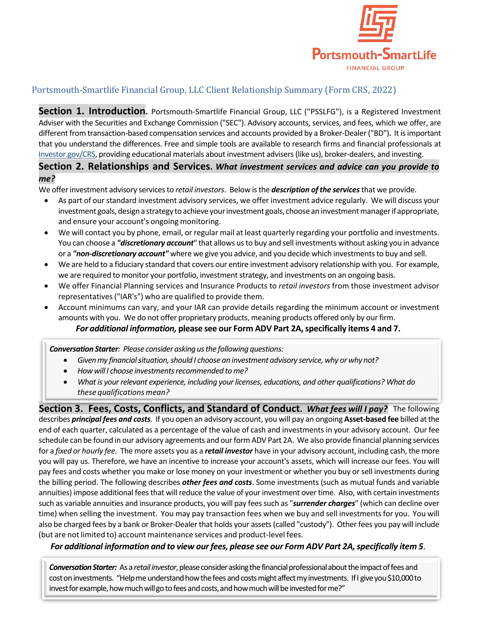

## Portsmouth-Smartlife Financial Group, LLC Client Relationship Summary (Form CRS, 2022)

Section 1. Introduction. Portsmouth-Smartlife Financial Group, LLC ("PSSLFG"), is a Registered Investment Adviser with the Securities and Exchange Commission ("SEC"). Advisory accounts, services, and fees, which we offer, are different from transaction-based compensation services and accounts provided by a Broker-Dealer("BD")**.** It isimportant that you understand the differences. Free and simple tools are available to research firms and financial professionals at Investor.gov/CRS, providing educational materials about investment advisers(like us), broker-dealers, and investing.

**Section 2. Relationships and Services.** *What investment services and advice can you provide to me?*

We offer investment advisory services to *retail investors*. Below is the *description of the services* that we provide.

- As part of our standard investment advisory services, we offer investment advice regularly. We will discuss your investment goals, design a strategy to achieve your investment goals, choose an investment manager if appropriate, and ensure your account's ongoing monitoring.
- We will contact you by phone, email, or regular mail at least quarterly regarding your portfolio and investments. You can choose a *"discretionary account*" that allows usto buy and sell investments without asking you in advance or a *"non-discretionary account"* where we give you advice, and you decide which investmentsto buy and sell.
- We are held to a fiduciary standard that covers our entire investment advisory relationship with you. For example, we are required to monitor your portfolio, investment strategy, and investments on an ongoing basis.
- We offer Financial Planning services and Insurance Products to *retail investors* from those investment advisor representatives("IAR's") who are qualified to provide them.
- Account minimums can vary, and your IAR can provide details regarding the minimum account or investment amounts with you. We do not offer proprietary products, meaning products offered only by ourfirm.

## *For additional information,* **please see our Form ADV Part 2A,specifically items 4 and 7.**

*Conversation Starter: Please consider asking usthe following questions:*

- *Givenmy financialsituation,should I choose an investment advisory service,why or why not?*
- *Howwill I choose investmentsrecommended tome?*
- *What is your relevant experience, including your licenses, educations, and other qualifications? What do these qualificationsmean?*

**Section 3. Fees, Costs, Conflicts, and Standard of Conduct.** *What fees will I pay?* The following describes *principal fees and costs.* If you open an advisory account, you will pay an ongoing **Asset-based fee** billed atthe end of each quarter, calculated as a percentage of the value of cash and investments in your advisory account. Our fee schedule can be found in our advisory agreements and our form ADV Part 2A. We also provide financial planning services for a *fixed or hourly fee*. The more assets you as a *retail investor* have in your advisory account, including cash, the more you will pay us. Therefore, we have an incentive to increase your account's assets, which will increase our fees. You will pay fees and costs whether you make or lose money on your investment or whether you buy orsell investments during the billing period. The following describes *other fees and costs*. Some investments (such as mutual funds and variable annuities) impose additional fees that will reduce the value of your investment over time. Also, with certain investments such as variable annuities and insurance products, you will pay feessuch as "*surrender charges*" (which can decline over time) when selling the investment. You may pay transaction fees when we buy and sell investmentsfor you. You will also be charged fees by a bank or Broker-Dealer that holds your assets(called "custody"). Other fees you pay will include (but are not limited to) account maintenance services and product-level fees.

*For additional information and to view ourfees, please see our Form ADV Part 2A,specifically item 5*.

**Conversation Starter:** As a retail investor, please consider asking the financial professional about the impact of fees and cost on investments. "Help me understand how the fees and costs might affect my investments. If I give you \$10,000 to invest for example, how much will go to fees and costs, and how much will be invested for me?"